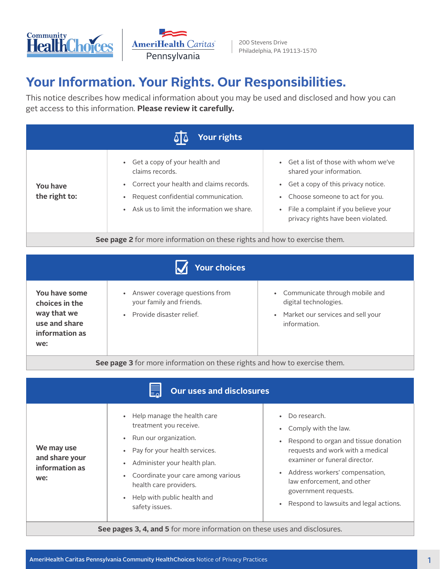



# **Your Information. Your Rights. Our Responsibilities.**

This notice describes how medical information about you may be used and disclosed and how you can get access to this information. **Please review it carefully.**

| Your rights                                                                      |                                                                                                                                                                                       |                                                                                                                                                                                                                         |
|----------------------------------------------------------------------------------|---------------------------------------------------------------------------------------------------------------------------------------------------------------------------------------|-------------------------------------------------------------------------------------------------------------------------------------------------------------------------------------------------------------------------|
| You have<br>the right to:                                                        | • Get a copy of your health and<br>claims records.<br>• Correct your health and claims records.<br>Request confidential communication.<br>• Ask us to limit the information we share. | • Get a list of those with whom we've<br>shared your information.<br>Get a copy of this privacy notice.<br>Choose someone to act for you.<br>File a complaint if you believe your<br>privacy rights have been violated. |
| <b>See page 2</b> for more information on these rights and how to exercise them. |                                                                                                                                                                                       |                                                                                                                                                                                                                         |

|                                                                                          | <b>Your choices</b>                                                                                   |                                                                                                                             |
|------------------------------------------------------------------------------------------|-------------------------------------------------------------------------------------------------------|-----------------------------------------------------------------------------------------------------------------------------|
| You have some<br>choices in the<br>way that we<br>use and share<br>information as<br>we: | Answer coverage questions from<br>$\bullet$<br>your family and friends.<br>• Provide disaster relief. | • Communicate through mobile and<br>digital technologies.<br>Market our services and sell your<br>$\bullet$<br>information. |

**See page 3** for more information on these rights and how to exercise them.

| <b>Our uses and disclosures</b>                                           |                                                                                                                                                                                                                                                                          |                                                                                                                                                                                                                                                                                         |
|---------------------------------------------------------------------------|--------------------------------------------------------------------------------------------------------------------------------------------------------------------------------------------------------------------------------------------------------------------------|-----------------------------------------------------------------------------------------------------------------------------------------------------------------------------------------------------------------------------------------------------------------------------------------|
| We may use<br>and share your<br>information as<br>we:                     | • Help manage the health care<br>treatment you receive.<br>• Run our organization.<br>• Pay for your health services.<br>Administer your health plan.<br>Coordinate your care among various<br>health care providers.<br>• Help with public health and<br>safety issues. | • Do research.<br>Comply with the law.<br>Respond to organ and tissue donation<br>requests and work with a medical<br>examiner or funeral director.<br>• Address workers' compensation,<br>law enforcement, and other<br>government requests.<br>Respond to lawsuits and legal actions. |
| See pages 3, 4, and 5 for more information on these uses and disclosures. |                                                                                                                                                                                                                                                                          |                                                                                                                                                                                                                                                                                         |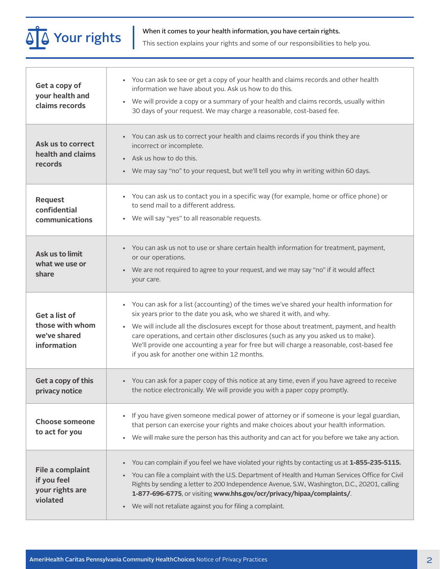**Your rights** When it comes to your health information, you have certain rights.<br>This section explains your rights and some of our responsibilities to help you.

| Get a copy of<br>your health and<br>claims records              | • You can ask to see or get a copy of your health and claims records and other health<br>information we have about you. Ask us how to do this.<br>We will provide a copy or a summary of your health and claims records, usually within<br>$\bullet$<br>30 days of your request. We may charge a reasonable, cost-based fee.                                                                                                                                                                          |
|-----------------------------------------------------------------|-------------------------------------------------------------------------------------------------------------------------------------------------------------------------------------------------------------------------------------------------------------------------------------------------------------------------------------------------------------------------------------------------------------------------------------------------------------------------------------------------------|
| Ask us to correct<br>health and claims<br>records               | • You can ask us to correct your health and claims records if you think they are<br>incorrect or incomplete.<br>• Ask us how to do this.<br>• We may say "no" to your request, but we'll tell you why in writing within 60 days.                                                                                                                                                                                                                                                                      |
| <b>Request</b><br>confidential<br>communications                | • You can ask us to contact you in a specific way (for example, home or office phone) or<br>to send mail to a different address.<br>• We will say "yes" to all reasonable requests.                                                                                                                                                                                                                                                                                                                   |
| Ask us to limit<br>what we use or<br>share                      | • You can ask us not to use or share certain health information for treatment, payment,<br>or our operations.<br>• We are not required to agree to your request, and we may say "no" if it would affect<br>your care.                                                                                                                                                                                                                                                                                 |
| Get a list of<br>those with whom<br>we've shared<br>information | • You can ask for a list (accounting) of the times we've shared your health information for<br>six years prior to the date you ask, who we shared it with, and why.<br>• We will include all the disclosures except for those about treatment, payment, and health<br>care operations, and certain other disclosures (such as any you asked us to make).<br>We'll provide one accounting a year for free but will charge a reasonable, cost-based fee<br>if you ask for another one within 12 months. |
| Get a copy of this<br>privacy notice                            | • You can ask for a paper copy of this notice at any time, even if you have agreed to receive<br>the notice electronically. We will provide you with a paper copy promptly.                                                                                                                                                                                                                                                                                                                           |
| <b>Choose someone</b><br>to act for you                         | If you have given someone medical power of attorney or if someone is your legal guardian,<br>$\bullet$<br>that person can exercise your rights and make choices about your health information.<br>We will make sure the person has this authority and can act for you before we take any action.<br>$\bullet$                                                                                                                                                                                         |
| File a complaint<br>if you feel<br>your rights are<br>violated  | You can complain if you feel we have violated your rights by contacting us at 1-855-235-5115.<br>$\bullet$<br>You can file a complaint with the U.S. Department of Health and Human Services Office for Civil<br>Rights by sending a letter to 200 Independence Avenue, S.W., Washington, D.C., 20201, calling<br>1-877-696-6775, or visiting www.hhs.gov/ocr/privacy/hipaa/complaints/.<br>We will not retaliate against you for filing a complaint.<br>$\bullet$                                    |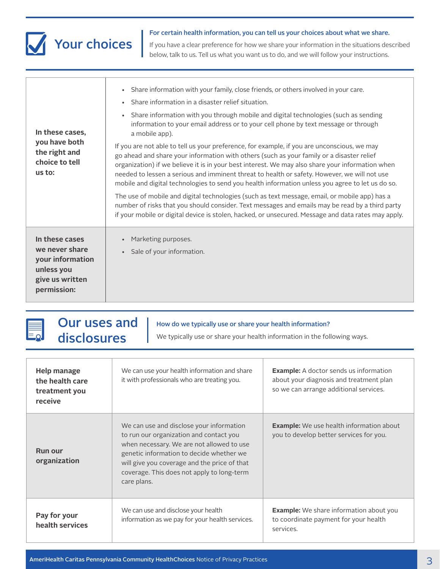

For certain health information, you can tell us your choices about what we share.

If you have a clear preference for how we share your information in the situations described below, talk to us. Tell us what you want us to do, and we will follow your instructions.

| In these cases,<br>you have both<br>the right and<br>choice to tell<br>us to:                        | Share information with your family, close friends, or others involved in your care.<br>$\bullet$<br>Share information in a disaster relief situation.<br>$\bullet$<br>Share information with you through mobile and digital technologies (such as sending<br>$\bullet$<br>information to your email address or to your cell phone by text message or through<br>a mobile app).<br>If you are not able to tell us your preference, for example, if you are unconscious, we may<br>go ahead and share your information with others (such as your family or a disaster relief<br>organization) if we believe it is in your best interest. We may also share your information when<br>needed to lessen a serious and imminent threat to health or safety. However, we will not use<br>mobile and digital technologies to send you health information unless you agree to let us do so.<br>The use of mobile and digital technologies (such as text message, email, or mobile app) has a<br>number of risks that you should consider. Text messages and emails may be read by a third party<br>if your mobile or digital device is stolen, hacked, or unsecured. Message and data rates may apply. |
|------------------------------------------------------------------------------------------------------|-----------------------------------------------------------------------------------------------------------------------------------------------------------------------------------------------------------------------------------------------------------------------------------------------------------------------------------------------------------------------------------------------------------------------------------------------------------------------------------------------------------------------------------------------------------------------------------------------------------------------------------------------------------------------------------------------------------------------------------------------------------------------------------------------------------------------------------------------------------------------------------------------------------------------------------------------------------------------------------------------------------------------------------------------------------------------------------------------------------------------------------------------------------------------------------------------|
| In these cases<br>we never share<br>your information<br>unless you<br>give us written<br>permission: | Marketing purposes.<br>$\bullet$<br>Sale of your information.                                                                                                                                                                                                                                                                                                                                                                                                                                                                                                                                                                                                                                                                                                                                                                                                                                                                                                                                                                                                                                                                                                                                 |

| <b>Help manage</b><br>the health care<br>treatment you<br>receive | We can use your health information and share<br>it with professionals who are treating you.                                                                                                                                                                                               | <b>Example:</b> A doctor sends us information<br>about your diagnosis and treatment plan<br>so we can arrange additional services. |
|-------------------------------------------------------------------|-------------------------------------------------------------------------------------------------------------------------------------------------------------------------------------------------------------------------------------------------------------------------------------------|------------------------------------------------------------------------------------------------------------------------------------|
| <b>Run our</b><br>organization                                    | We can use and disclose your information<br>to run our organization and contact you<br>when necessary. We are not allowed to use<br>genetic information to decide whether we<br>will give you coverage and the price of that<br>coverage. This does not apply to long-term<br>care plans. | <b>Example:</b> We use health information about<br>you to develop better services for you.                                         |
| Pay for your<br>health services                                   | We can use and disclose your health<br>information as we pay for your health services.                                                                                                                                                                                                    | <b>Example:</b> We share information about you<br>to coordinate payment for your health<br>services.                               |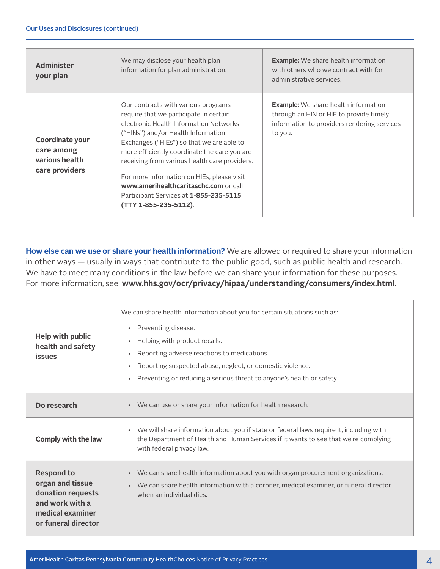| <b>Administer</b><br>your plan                                    | We may disclose your health plan<br>information for plan administration.                                                                                                                                                                                                                                                                                                                                                                                              | <b>Example:</b> We share health information<br>with others who we contract with for<br>administrative services.                                  |
|-------------------------------------------------------------------|-----------------------------------------------------------------------------------------------------------------------------------------------------------------------------------------------------------------------------------------------------------------------------------------------------------------------------------------------------------------------------------------------------------------------------------------------------------------------|--------------------------------------------------------------------------------------------------------------------------------------------------|
| Coordinate your<br>care among<br>various health<br>care providers | Our contracts with various programs<br>require that we participate in certain<br>electronic Health Information Networks<br>("HINs") and/or Health Information<br>Exchanges ("HIEs") so that we are able to<br>more efficiently coordinate the care you are<br>receiving from various health care providers.<br>For more information on HIEs, please visit<br>www.amerihealthcaritaschc.com or call<br>Participant Services at 1-855-235-5115<br>(TTY 1-855-235-5112). | <b>Example:</b> We share health information<br>through an HIN or HIE to provide timely<br>information to providers rendering services<br>to you. |

**How else can we use or share your health information?** We are allowed or required to share your information in other ways — usually in ways that contribute to the public good, such as public health and research. We have to meet many conditions in the law before we can share your information for these purposes. For more information, see: **www.hhs.gov/ocr/privacy/hipaa/understanding/consumers/index.html**.

| Help with public<br>health and safety<br><b>issues</b>                                                                   | We can share health information about you for certain situations such as:<br>Preventing disease.<br>$\bullet$<br>Helping with product recalls.<br>Reporting adverse reactions to medications.<br>Reporting suspected abuse, neglect, or domestic violence.<br>Preventing or reducing a serious threat to anyone's health or safety. |
|--------------------------------------------------------------------------------------------------------------------------|-------------------------------------------------------------------------------------------------------------------------------------------------------------------------------------------------------------------------------------------------------------------------------------------------------------------------------------|
| Do research                                                                                                              | • We can use or share your information for health research.                                                                                                                                                                                                                                                                         |
| Comply with the law                                                                                                      | • We will share information about you if state or federal laws require it, including with<br>the Department of Health and Human Services if it wants to see that we're complying<br>with federal privacy law.                                                                                                                       |
| <b>Respond to</b><br>organ and tissue<br>donation requests<br>and work with a<br>medical examiner<br>or funeral director | • We can share health information about you with organ procurement organizations.<br>We can share health information with a coroner, medical examiner, or funeral director<br>when an individual dies.                                                                                                                              |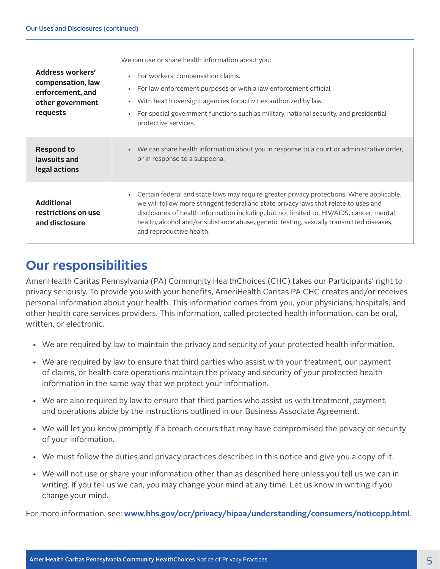| <b>Address workers'</b><br>compensation, law<br>enforcement, and<br>other government<br>requests | We can use or share health information about you:<br>• For workers' compensation claims.<br>For law enforcement purposes or with a law enforcement official.<br>$\bullet$<br>With health oversight agencies for activities authorized by law.<br>$\bullet$<br>For special government functions such as military, national security, and presidential<br>$\bullet$<br>protective services.                          |
|--------------------------------------------------------------------------------------------------|--------------------------------------------------------------------------------------------------------------------------------------------------------------------------------------------------------------------------------------------------------------------------------------------------------------------------------------------------------------------------------------------------------------------|
| <b>Respond to</b><br>lawsuits and<br>legal actions                                               | • We can share health information about you in response to a court or administrative order,<br>or in response to a subpoena.                                                                                                                                                                                                                                                                                       |
| <b>Additional</b><br>restrictions on use<br>and disclosure                                       | Certain federal and state laws may require greater privacy protections. Where applicable,<br>$\bullet$<br>we will follow more stringent federal and state privacy laws that relate to uses and<br>disclosures of health information including, but not limited to, HIV/AIDS, cancer, mental<br>health, alcohol and/or substance abuse, genetic testing, sexually transmitted diseases,<br>and reproductive health. |

## **Our responsibilities**

AmeriHealth Caritas Pennsylvania (PA) Community HealthChoices (CHC) takes our Participants' right to privacy seriously. To provide you with your benefits, AmeriHealth Caritas PA CHC creates and/or receives personal information about your health. This information comes from you, your physicians, hospitals, and other health care services providers. This information, called protected health information, can be oral, written, or electronic.

- We are required by law to maintain the privacy and security of your protected health information.
- We are required by law to ensure that third parties who assist with your treatment, our payment of claims, or health care operations maintain the privacy and security of your protected health information in the same way that we protect your information.
- We are also required by law to ensure that third parties who assist us with treatment, payment, and operations abide by the instructions outlined in our Business Associate Agreement.
- We will let you know promptly if a breach occurs that may have compromised the privacy or security of your information.
- We must follow the duties and privacy practices described in this notice and give you a copy of it.
- We will not use or share your information other than as described here unless you tell us we can in writing. If you tell us we can, you may change your mind at any time. Let us know in writing if you change your mind.

For more information, see: **www.hhs.gov/ocr/privacy/hipaa/understanding/consumers/noticepp.html**.